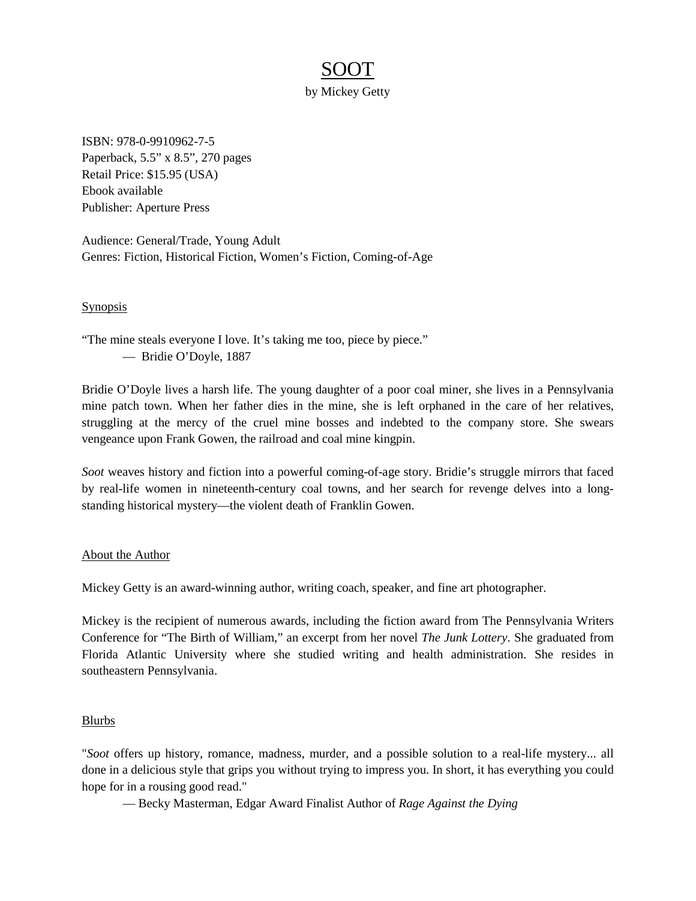## SOOT

by Mickey Getty

ISBN: 978-0-9910962-7-5 Paperback, 5.5" x 8.5", 270 pages Retail Price: \$15.95 (USA) Ebook available Publisher: Aperture Press

Audience: General/Trade, Young Adult Genres: Fiction, Historical Fiction, Women's Fiction, Coming-of-Age

## **Synopsis**

"The mine steals everyone I love. It's taking me too, piece by piece." — Bridie O'Doyle, 1887

Bridie O'Doyle lives a harsh life. The young daughter of a poor coal miner, she lives in a Pennsylvania mine patch town. When her father dies in the mine, she is left orphaned in the care of her relatives, struggling at the mercy of the cruel mine bosses and indebted to the company store. She swears vengeance upon Frank Gowen, the railroad and coal mine kingpin.

*Soot* weaves history and fiction into a powerful coming-of-age story. Bridie's struggle mirrors that faced by real-life women in nineteenth-century coal towns, and her search for revenge delves into a longstanding historical mystery—the violent death of Franklin Gowen.

## About the Author

Mickey Getty is an award-winning author, writing coach, speaker, and fine art photographer.

Mickey is the recipient of numerous awards, including the fiction award from The Pennsylvania Writers Conference for "The Birth of William," an excerpt from her novel *The Junk Lottery*. She graduated from Florida Atlantic University where she studied writing and health administration. She resides in southeastern Pennsylvania.

## Blurbs

"*Soot* offers up history, romance, madness, murder, and a possible solution to a real-life mystery... all done in a delicious style that grips you without trying to impress you. In short, it has everything you could hope for in a rousing good read."

— Becky Masterman, Edgar Award Finalist Author of *Rage Against the Dying*